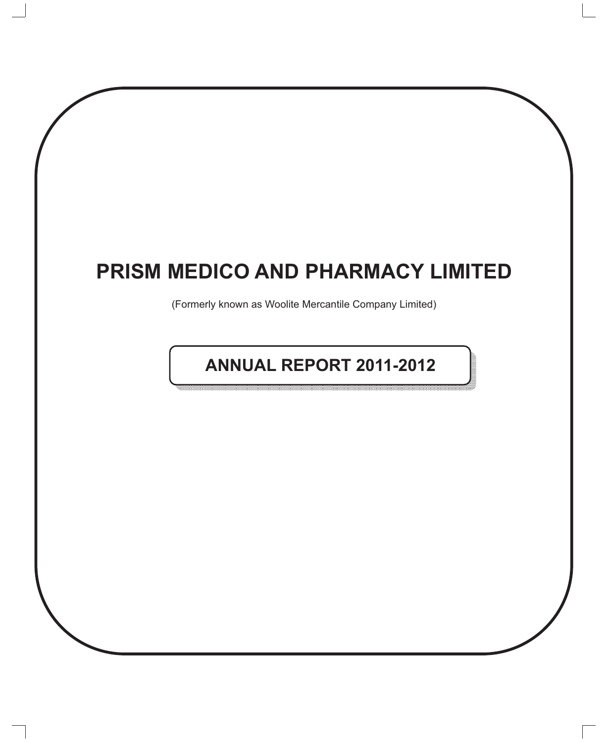# **PRISM MEDICO AND PHARMACY LIMITED**

(Formerly known as Woolite Mercantile Company Limited)

# **ANNUAL REPORT 2011-2012**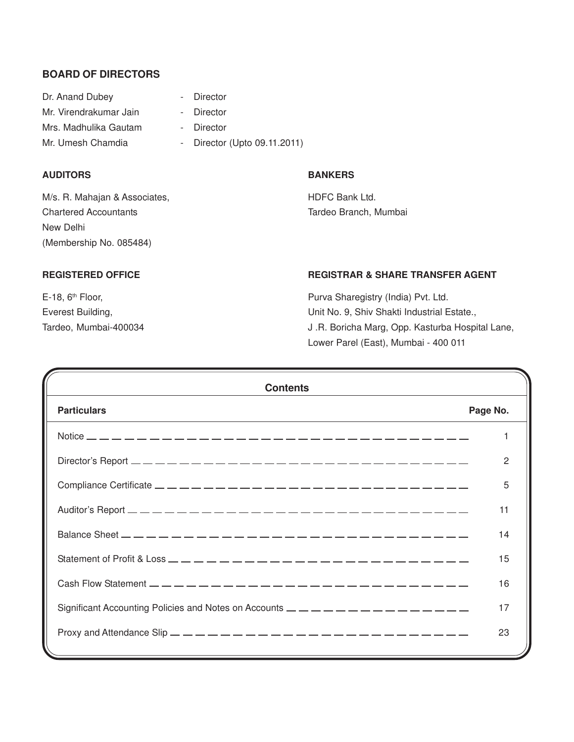#### **BOARD OF DIRECTORS**

| Dr. Anand Dubey        | - Director                   |
|------------------------|------------------------------|
| Mr. Virendrakumar Jain | - Director                   |
| Mrs. Madhulika Gautam  | - Director                   |
| Mr. Umesh Chamdia      | - Director (Upto 09.11.2011) |

#### **AUDITORS BANKERS**

M/s. R. Mahajan & Associates, No. 2006 and HDFC Bank Ltd. Chartered Accountants Tardeo Branch, Mumbai New Delhi (Membership No. 085484)

## **REGISTERED OFFICE REGISTRAR & SHARE TRANSFER AGENT**

E-18, 6<sup>th</sup> Floor, **Purva Sharegistry (India) Pvt. Ltd.** Everest Building, Everest Building, Everest Building, Everest Building, Estate., Tardeo, Mumbai-400034 J .R. Boricha Marg, Opp. Kasturba Hospital Lane, Lower Parel (East), Mumbai - 400 011

| <b>Contents</b>                                                                                                                                                                                                                                                                                                    |          |
|--------------------------------------------------------------------------------------------------------------------------------------------------------------------------------------------------------------------------------------------------------------------------------------------------------------------|----------|
| <b>Particulars</b>                                                                                                                                                                                                                                                                                                 | Page No. |
|                                                                                                                                                                                                                                                                                                                    |          |
|                                                                                                                                                                                                                                                                                                                    | 2        |
| Compliance Certificate $\frac{1}{2}$ $\frac{1}{2}$ $\frac{1}{2}$ $\frac{1}{2}$ $\frac{1}{2}$ $\frac{1}{2}$ $\frac{1}{2}$ $\frac{1}{2}$ $\frac{1}{2}$ $\frac{1}{2}$ $\frac{1}{2}$ $\frac{1}{2}$ $\frac{1}{2}$ $\frac{1}{2}$ $\frac{1}{2}$ $\frac{1}{2}$ $\frac{1}{2}$ $\frac{1}{2}$ $\frac{1}{2}$ $\frac{1}{2}$     | 5        |
|                                                                                                                                                                                                                                                                                                                    | 11       |
| Balance Sheet $\frac{1}{2}$ $\frac{1}{2}$ $\frac{1}{2}$ $\frac{1}{2}$ $\frac{1}{2}$ $\frac{1}{2}$ $\frac{1}{2}$ $\frac{1}{2}$ $\frac{1}{2}$ $\frac{1}{2}$ $\frac{1}{2}$ $\frac{1}{2}$ $\frac{1}{2}$ $\frac{1}{2}$ $\frac{1}{2}$ $\frac{1}{2}$ $\frac{1}{2}$ $\frac{1}{2}$ $\frac{1}{2}$ $\frac{1}{2}$ $\frac{1}{2$ | 14       |
| Statement of Profit & Loss $\frac{1}{2}$ $\frac{1}{2}$ $\frac{1}{2}$ $\frac{1}{2}$ $\frac{1}{2}$ $\frac{1}{2}$ $\frac{1}{2}$ $\frac{1}{2}$ $\frac{1}{2}$ $\frac{1}{2}$ $\frac{1}{2}$ $\frac{1}{2}$ $\frac{1}{2}$ $\frac{1}{2}$ $\frac{1}{2}$ $\frac{1}{2}$ $\frac{1}{2}$ $\frac{1}{2}$ $\frac{1}{2}$ $\frac{$      | 15       |
|                                                                                                                                                                                                                                                                                                                    | 16       |
|                                                                                                                                                                                                                                                                                                                    | 17       |
| Proxy and Attendance Slip $\frac{1}{2}$ $\frac{1}{2}$ $\frac{1}{2}$ $\frac{1}{2}$ $\frac{1}{2}$ $\frac{1}{2}$ $\frac{1}{2}$ $\frac{1}{2}$ $\frac{1}{2}$ $\frac{1}{2}$ $\frac{1}{2}$ $\frac{1}{2}$ $\frac{1}{2}$ $\frac{1}{2}$ $\frac{1}{2}$ $\frac{1}{2}$ $\frac{1}{2}$ $\frac{1}{2}$ $\frac{1}{2}$ $\frac{1$      | 23       |
|                                                                                                                                                                                                                                                                                                                    |          |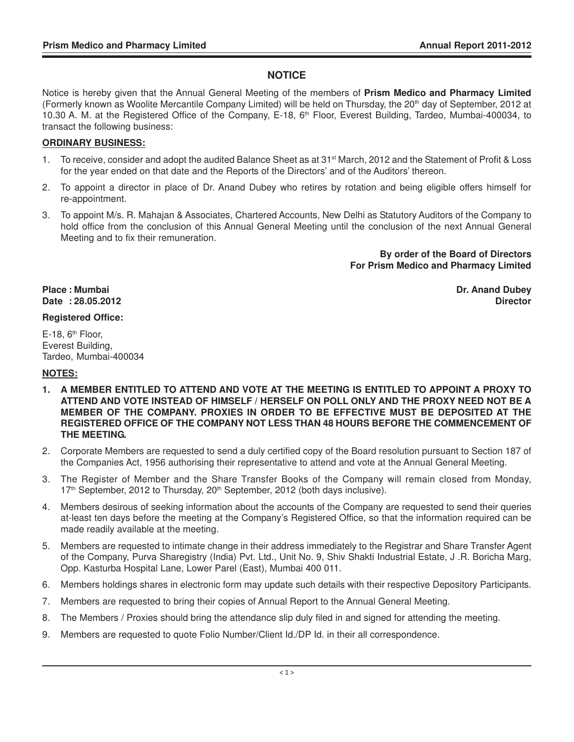#### **NOTICE**

Notice is hereby given that the Annual General Meeting of the members of **Prism Medico and Pharmacy Limited** (Formerly known as Woolite Mercantile Company Limited) will be held on Thursday, the 20<sup>th</sup> day of September, 2012 at 10.30 A. M. at the Registered Office of the Company, E-18, 6th Floor, Everest Building, Tardeo, Mumbai-400034, to transact the following business:

#### **ORDINARY BUSINESS:**

- 1. To receive, consider and adopt the audited Balance Sheet as at 31<sup>st</sup> March, 2012 and the Statement of Profit & Loss for the year ended on that date and the Reports of the Directors' and of the Auditors' thereon.
- 2. To appoint a director in place of Dr. Anand Dubey who retires by rotation and being eligible offers himself for re-appointment.
- 3. To appoint M/s. R. Mahajan & Associates, Chartered Accounts, New Delhi as Statutory Auditors of the Company to hold office from the conclusion of this Annual General Meeting until the conclusion of the next Annual General Meeting and to fix their remuneration.

**By order of the Board of Directors For Prism Medico and Pharmacy Limited**

**Place : Mumbai Dr. Anand Dubey Date : 28.05.2012 Director**

#### **Registered Office:**

 $E-18$ ,  $6<sup>th</sup>$  Floor, Everest Building, Tardeo, Mumbai-400034

#### **NOTES:**

- **1. A MEMBER ENTITLED TO ATTEND AND VOTE AT THE MEETING IS ENTITLED TO APPOINT A PROXY TO ATTEND AND VOTE INSTEAD OF HIMSELF / HERSELF ON POLL ONLY AND THE PROXY NEED NOT BE A MEMBER OF THE COMPANY. PROXIES IN ORDER TO BE EFFECTIVE MUST BE DEPOSITED AT THE REGISTERED OFFICE OF THE COMPANY NOT LESS THAN 48 HOURS BEFORE THE COMMENCEMENT OF THE MEETING.**
- 2. Corporate Members are requested to send a duly certified copy of the Board resolution pursuant to Section 187 of the Companies Act, 1956 authorising their representative to attend and vote at the Annual General Meeting.
- 3. The Register of Member and the Share Transfer Books of the Company will remain closed from Monday, 17<sup>th</sup> September, 2012 to Thursday, 20<sup>th</sup> September, 2012 (both days inclusive).
- 4. Members desirous of seeking information about the accounts of the Company are requested to send their queries at-least ten days before the meeting at the Company's Registered Office, so that the information required can be made readily available at the meeting.
- 5. Members are requested to intimate change in their address immediately to the Registrar and Share Transfer Agent of the Company, Purva Sharegistry (India) Pvt. Ltd., Unit No. 9, Shiv Shakti Industrial Estate, J .R. Boricha Marg, Opp. Kasturba Hospital Lane, Lower Parel (East), Mumbai 400 011.
- 6. Members holdings shares in electronic form may update such details with their respective Depository Participants.
- 7. Members are requested to bring their copies of Annual Report to the Annual General Meeting.
- 8. The Members / Proxies should bring the attendance slip duly filed in and signed for attending the meeting.
- 9. Members are requested to quote Folio Number/Client Id./DP Id. in their all correspondence.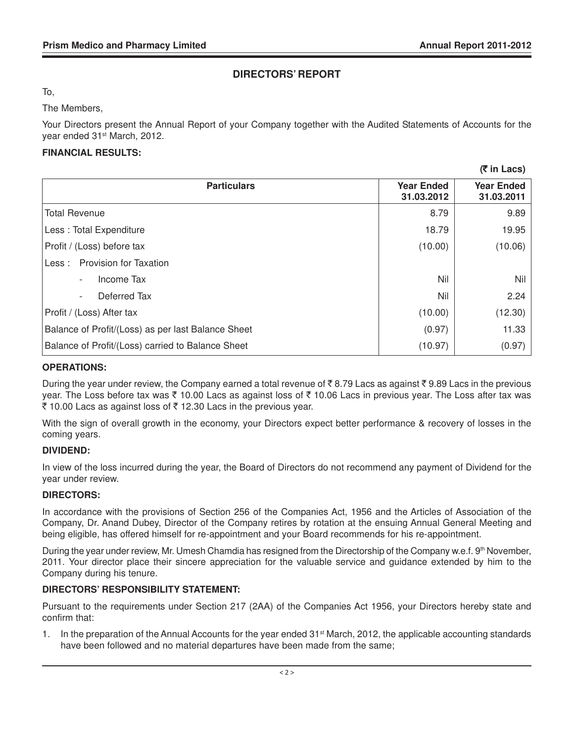**(**` **in Lacs)**

#### **DIRECTORS' REPORT**

To,

The Members,

Your Directors present the Annual Report of your Company together with the Audited Statements of Accounts for the year ended 31st March, 2012.

#### **FINANCIAL RESULTS:**

|                                                    |                                 | 11 III LAVJ                     |
|----------------------------------------------------|---------------------------------|---------------------------------|
| <b>Particulars</b>                                 | <b>Year Ended</b><br>31.03.2012 | <b>Year Ended</b><br>31.03.2011 |
| <b>Total Revenue</b>                               | 8.79                            | 9.89                            |
| Less: Total Expenditure                            | 18.79                           | 19.95                           |
| Profit / (Loss) before tax                         | (10.00)                         | (10.06)                         |
| <b>Provision for Taxation</b><br>Less :            |                                 |                                 |
| Income Tax<br>$\overline{\phantom{a}}$             | Nil                             | Nil                             |
| Deferred Tax                                       | Nil                             | 2.24                            |
| Profit / (Loss) After tax                          | (10.00)                         | (12.30)                         |
| Balance of Profit/(Loss) as per last Balance Sheet | (0.97)                          | 11.33                           |
| Balance of Profit/(Loss) carried to Balance Sheet  | (10.97)                         | (0.97)                          |

#### **OPERATIONS:**

During the year under review, the Company earned a total revenue of  $\bar{\tau}$  8.79 Lacs as against  $\bar{\tau}$  9.89 Lacs in the previous year. The Loss before tax was  $\bar{\tau}$  10.00 Lacs as against loss of  $\bar{\tau}$  10.06 Lacs in previous year. The Loss after tax was ₹ 10.00 Lacs as against loss of ₹ 12.30 Lacs in the previous year.

With the sign of overall growth in the economy, your Directors expect better performance & recovery of losses in the coming years.

#### **DIVIDEND:**

In view of the loss incurred during the year, the Board of Directors do not recommend any payment of Dividend for the year under review.

#### **DIRECTORS:**

In accordance with the provisions of Section 256 of the Companies Act, 1956 and the Articles of Association of the Company, Dr. Anand Dubey, Director of the Company retires by rotation at the ensuing Annual General Meeting and being eligible, has offered himself for re-appointment and your Board recommends for his re-appointment.

During the year under review, Mr. Umesh Chamdia has resigned from the Directorship of the Company w.e.f. 9<sup>th</sup> November, 2011. Your director place their sincere appreciation for the valuable service and guidance extended by him to the Company during his tenure.

#### **DIRECTORS' RESPONSIBILITY STATEMENT:**

Pursuant to the requirements under Section 217 (2AA) of the Companies Act 1956, your Directors hereby state and confirm that:

1. In the preparation of the Annual Accounts for the year ended 31<sup>st</sup> March, 2012, the applicable accounting standards have been followed and no material departures have been made from the same;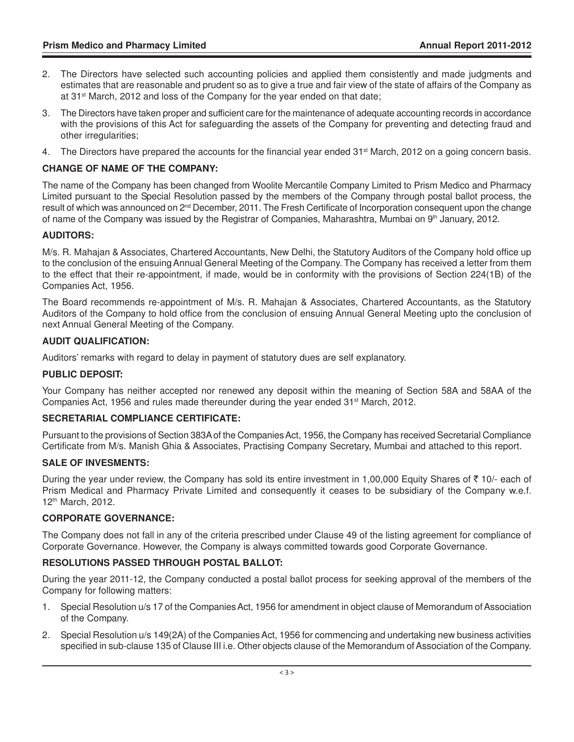- 2. The Directors have selected such accounting policies and applied them consistently and made judgments and estimates that are reasonable and prudent so as to give a true and fair view of the state of affairs of the Company as at  $31<sup>st</sup>$  March, 2012 and loss of the Company for the year ended on that date;
- 3. The Directors have taken proper and sufficient care for the maintenance of adequate accounting records in accordance with the provisions of this Act for safeguarding the assets of the Company for preventing and detecting fraud and other irregularities;
- 4. The Directors have prepared the accounts for the financial year ended 31<sup>st</sup> March, 2012 on a going concern basis.

#### **CHANGE OF NAME OF THE COMPANY:**

The name of the Company has been changed from Woolite Mercantile Company Limited to Prism Medico and Pharmacy Limited pursuant to the Special Resolution passed by the members of the Company through postal ballot process, the result of which was announced on 2<sup>nd</sup> December, 2011. The Fresh Certificate of Incorporation consequent upon the change of name of the Company was issued by the Registrar of Companies, Maharashtra, Mumbai on 9th January, 2012.

#### **AUDITORS:**

M/s. R. Mahajan & Associates, Chartered Accountants, New Delhi, the Statutory Auditors of the Company hold office up to the conclusion of the ensuing Annual General Meeting of the Company. The Company has received a letter from them to the effect that their re-appointment, if made, would be in conformity with the provisions of Section 224(1B) of the Companies Act, 1956.

The Board recommends re-appointment of M/s. R. Mahajan & Associates, Chartered Accountants, as the Statutory Auditors of the Company to hold office from the conclusion of ensuing Annual General Meeting upto the conclusion of next Annual General Meeting of the Company.

#### **AUDIT QUALIFICATION:**

Auditors' remarks with regard to delay in payment of statutory dues are self explanatory.

#### **PUBLIC DEPOSIT:**

Your Company has neither accepted nor renewed any deposit within the meaning of Section 58A and 58AA of the Companies Act, 1956 and rules made thereunder during the year ended  $31<sup>st</sup>$  March, 2012.

#### **SECRETARIAL COMPLIANCE CERTIFICATE:**

Pursuant to the provisions of Section 383A of the Companies Act, 1956, the Company has received Secretarial Compliance Certificate from M/s. Manish Ghia & Associates, Practising Company Secretary, Mumbai and attached to this report.

#### **SALE OF INVESMENTS:**

During the year under review, the Company has sold its entire investment in 1,00,000 Equity Shares of  $\bar{\tau}$  10/- each of Prism Medical and Pharmacy Private Limited and consequently it ceases to be subsidiary of the Company w.e.f. 12th March, 2012.

#### **CORPORATE GOVERNANCE:**

The Company does not fall in any of the criteria prescribed under Clause 49 of the listing agreement for compliance of Corporate Governance. However, the Company is always committed towards good Corporate Governance.

#### **RESOLUTIONS PASSED THROUGH POSTAL BALLOT:**

During the year 2011-12, the Company conducted a postal ballot process for seeking approval of the members of the Company for following matters:

- 1. Special Resolution u/s 17 of the Companies Act, 1956 for amendment in object clause of Memorandum of Association of the Company.
- 2. Special Resolution u/s 149(2A) of the Companies Act, 1956 for commencing and undertaking new business activities specified in sub-clause 135 of Clause III i.e. Other objects clause of the Memorandum of Association of the Company.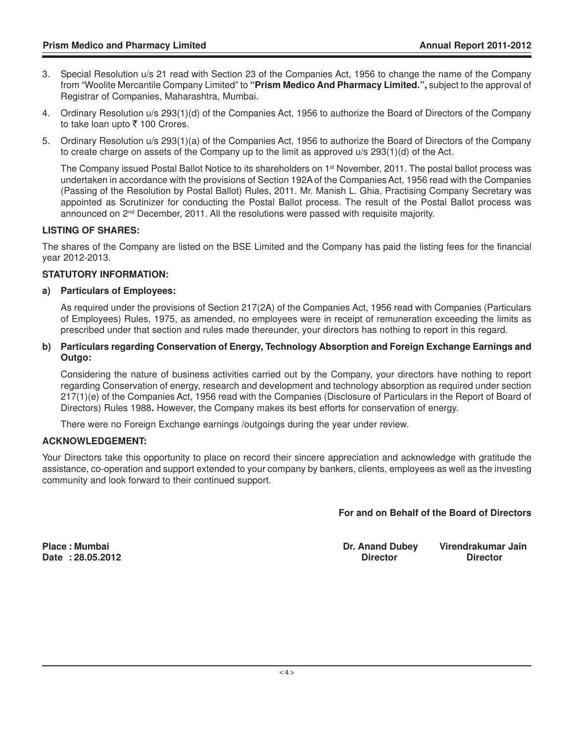- 3. Special Resolution u/s 21 read with Section 23 of the Companies Act, 1956 to change the name of the Company from "Woolite Mercantile Company Limited" to **"Prism Medico And Pharmacy Limited.",** subject to the approval of Registrar of Companies, Maharashtra, Mumbai.
- 4. Ordinary Resolution u/s 293(1)(d) of the Companies Act, 1956 to authorize the Board of Directors of the Company to take loan upto  $\bar{\tau}$  100 Crores.
- 5. Ordinary Resolution u/s 293(1)(a) of the Companies Act, 1956 to authorize the Board of Directors of the Company to create charge on assets of the Company up to the limit as approved u/s 293(1)(d) of the Act.

The Company issued Postal Ballot Notice to its shareholders on 1<sup>st</sup> November, 2011. The postal ballot process was undertaken in accordance with the provisions of Section 192A of the Companies Act, 1956 read with the Companies (Passing of the Resolution by Postal Ballot) Rules, 2011. Mr. Manish L. Ghia, Practising Company Secretary was appointed as Scrutinizer for conducting the Postal Ballot process. The result of the Postal Ballot process was announced on 2nd December, 2011. All the resolutions were passed with requisite majority.

#### **LISTING OF SHARES:**

The shares of the Company are listed on the BSE Limited and the Company has paid the listing fees for the financial year 2012-2013.

#### **STATUTORY INFORMATION:**

#### **a) Particulars of Employees:**

As required under the provisions of Section 217(2A) of the Companies Act, 1956 read with Companies (Particulars of Employees) Rules, 1975, as amended, no employees were in receipt of remuneration exceeding the limits as prescribed under that section and rules made thereunder, your directors has nothing to report in this regard.

#### **b) Particulars regarding Conservation of Energy, Technology Absorption and Foreign Exchange Earnings and Outgo:**

Considering the nature of business activities carried out by the Company, your directors have nothing to report regarding Conservation of energy, research and development and technology absorption as required under section 217(1)(e) of the Companies Act, 1956 read with the Companies (Disclosure of Particulars in the Report of Board of Directors) Rules 1988**.** However, the Company makes its best efforts for conservation of energy.

There were no Foreign Exchange earnings /outgoings during the year under review.

#### **ACKNOWLEDGEMENT:**

Your Directors take this opportunity to place on record their sincere appreciation and acknowledge with gratitude the assistance, co-operation and support extended to your company by bankers, clients, employees as well as the investing community and look forward to their continued support.

 **For and on Behalf of the Board of Directors**

**Place : Mumbai Dr. Anand Dubey Virendrakumar Jain Date : 28.05.2012 Director Director**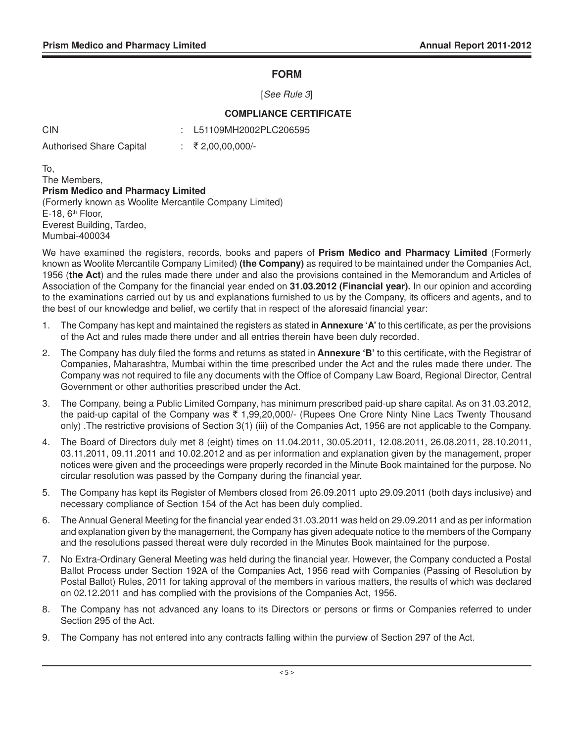#### **FORM**

[See Rule 3]

#### **COMPLIANCE CERTIFICATE**

: L51109MH2002PLC206595

Authorised Share Capital : ₹2,00,00,000/-

To,

The Members, **Prism Medico and Pharmacy Limited** (Formerly known as Woolite Mercantile Company Limited)  $E-18$ ,  $6<sup>th</sup>$  Floor, Everest Building, Tardeo, Mumbai-400034

We have examined the registers, records, books and papers of **Prism Medico and Pharmacy Limited** (Formerly known as Woolite Mercantile Company Limited) **(the Company)** as required to be maintained under the Companies Act, 1956 (**the Act**) and the rules made there under and also the provisions contained in the Memorandum and Articles of Association of the Company for the financial year ended on **31.03.2012 (Financial year).** In our opinion and according to the examinations carried out by us and explanations furnished to us by the Company, its officers and agents, and to the best of our knowledge and belief, we certify that in respect of the aforesaid financial year:

- 1. The Company has kept and maintained the registers as stated in **Annexure 'A'** to this certificate, as per the provisions of the Act and rules made there under and all entries therein have been duly recorded.
- 2. The Company has duly filed the forms and returns as stated in **Annexure 'B'** to this certificate, with the Registrar of Companies, Maharashtra, Mumbai within the time prescribed under the Act and the rules made there under. The Company was not required to file any documents with the Office of Company Law Board, Regional Director, Central Government or other authorities prescribed under the Act.
- 3. The Company, being a Public Limited Company, has minimum prescribed paid-up share capital. As on 31.03.2012, the paid-up capital of the Company was  $\bar{\tau}$  1,99,20,000/- (Rupees One Crore Ninty Nine Lacs Twenty Thousand only) .The restrictive provisions of Section 3(1) (iii) of the Companies Act, 1956 are not applicable to the Company.
- 4. The Board of Directors duly met 8 (eight) times on 11.04.2011, 30.05.2011, 12.08.2011, 26.08.2011, 28.10.2011, 03.11.2011, 09.11.2011 and 10.02.2012 and as per information and explanation given by the management, proper notices were given and the proceedings were properly recorded in the Minute Book maintained for the purpose. No circular resolution was passed by the Company during the financial year.
- 5. The Company has kept its Register of Members closed from 26.09.2011 upto 29.09.2011 (both days inclusive) and necessary compliance of Section 154 of the Act has been duly complied.
- 6. The Annual General Meeting for the financial year ended 31.03.2011 was held on 29.09.2011 and as per information and explanation given by the management, the Company has given adequate notice to the members of the Company and the resolutions passed thereat were duly recorded in the Minutes Book maintained for the purpose.
- 7. No Extra-Ordinary General Meeting was held during the financial year. However, the Company conducted a Postal Ballot Process under Section 192A of the Companies Act, 1956 read with Companies (Passing of Resolution by Postal Ballot) Rules, 2011 for taking approval of the members in various matters, the results of which was declared on 02.12.2011 and has complied with the provisions of the Companies Act, 1956.
- 8. The Company has not advanced any loans to its Directors or persons or firms or Companies referred to under Section 295 of the Act.
- 9. The Company has not entered into any contracts falling within the purview of Section 297 of the Act.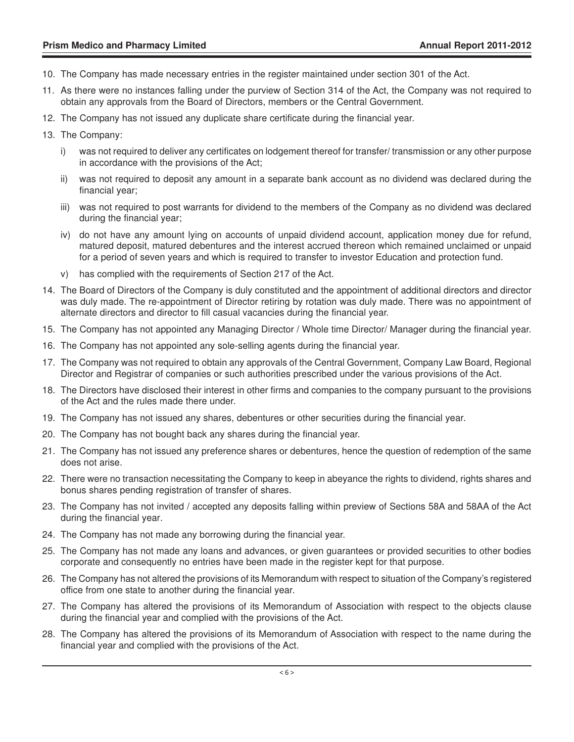- 10. The Company has made necessary entries in the register maintained under section 301 of the Act.
- 11. As there were no instances falling under the purview of Section 314 of the Act, the Company was not required to obtain any approvals from the Board of Directors, members or the Central Government.
- 12. The Company has not issued any duplicate share certificate during the financial year.
- 13. The Company:
	- i) was not required to deliver any certificates on lodgement thereof for transfer/ transmission or any other purpose in accordance with the provisions of the Act;
	- ii) was not required to deposit any amount in a separate bank account as no dividend was declared during the financial year;
	- iii) was not required to post warrants for dividend to the members of the Company as no dividend was declared during the financial year;
	- iv) do not have any amount lying on accounts of unpaid dividend account, application money due for refund, matured deposit, matured debentures and the interest accrued thereon which remained unclaimed or unpaid for a period of seven years and which is required to transfer to investor Education and protection fund.
	- v) has complied with the requirements of Section 217 of the Act.
- 14. The Board of Directors of the Company is duly constituted and the appointment of additional directors and director was duly made. The re-appointment of Director retiring by rotation was duly made. There was no appointment of alternate directors and director to fill casual vacancies during the financial year.
- 15. The Company has not appointed any Managing Director / Whole time Director/ Manager during the financial year.
- 16. The Company has not appointed any sole-selling agents during the financial year.
- 17. The Company was not required to obtain any approvals of the Central Government, Company Law Board, Regional Director and Registrar of companies or such authorities prescribed under the various provisions of the Act.
- 18. The Directors have disclosed their interest in other firms and companies to the company pursuant to the provisions of the Act and the rules made there under.
- 19. The Company has not issued any shares, debentures or other securities during the financial year.
- 20. The Company has not bought back any shares during the financial year.
- 21. The Company has not issued any preference shares or debentures, hence the question of redemption of the same does not arise.
- 22. There were no transaction necessitating the Company to keep in abeyance the rights to dividend, rights shares and bonus shares pending registration of transfer of shares.
- 23. The Company has not invited / accepted any deposits falling within preview of Sections 58A and 58AA of the Act during the financial year.
- 24. The Company has not made any borrowing during the financial year.
- 25. The Company has not made any loans and advances, or given guarantees or provided securities to other bodies corporate and consequently no entries have been made in the register kept for that purpose.
- 26. The Company has not altered the provisions of its Memorandum with respect to situation of the Company's registered office from one state to another during the financial year.
- 27. The Company has altered the provisions of its Memorandum of Association with respect to the objects clause during the financial year and complied with the provisions of the Act.
- 28. The Company has altered the provisions of its Memorandum of Association with respect to the name during the financial year and complied with the provisions of the Act.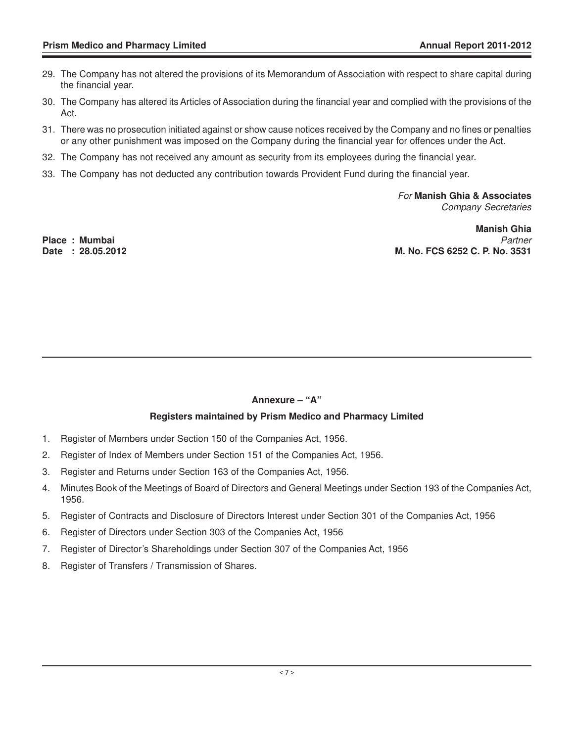- 29. The Company has not altered the provisions of its Memorandum of Association with respect to share capital during the financial year.
- 30. The Company has altered its Articles of Association during the financial year and complied with the provisions of the Act.
- 31. There was no prosecution initiated against or show cause notices received by the Company and no fines or penalties or any other punishment was imposed on the Company during the financial year for offences under the Act.
- 32. The Company has not received any amount as security from its employees during the financial year.
- 33. The Company has not deducted any contribution towards Provident Fund during the financial year.

For **Manish Ghia & Associates** Company Secretaries

**Manish Ghia Place : Mumbai** Partner **Date : 28.05.2012 M. No. FCS 6252 C. P. No. 3531**

#### **Annexure – "A"**

#### **Registers maintained by Prism Medico and Pharmacy Limited**

- 1. Register of Members under Section 150 of the Companies Act, 1956.
- 2. Register of Index of Members under Section 151 of the Companies Act, 1956.
- 3. Register and Returns under Section 163 of the Companies Act, 1956.
- 4. Minutes Book of the Meetings of Board of Directors and General Meetings under Section 193 of the Companies Act, 1956.
- 5. Register of Contracts and Disclosure of Directors Interest under Section 301 of the Companies Act, 1956
- 6. Register of Directors under Section 303 of the Companies Act, 1956
- 7. Register of Director's Shareholdings under Section 307 of the Companies Act, 1956
- 8. Register of Transfers / Transmission of Shares.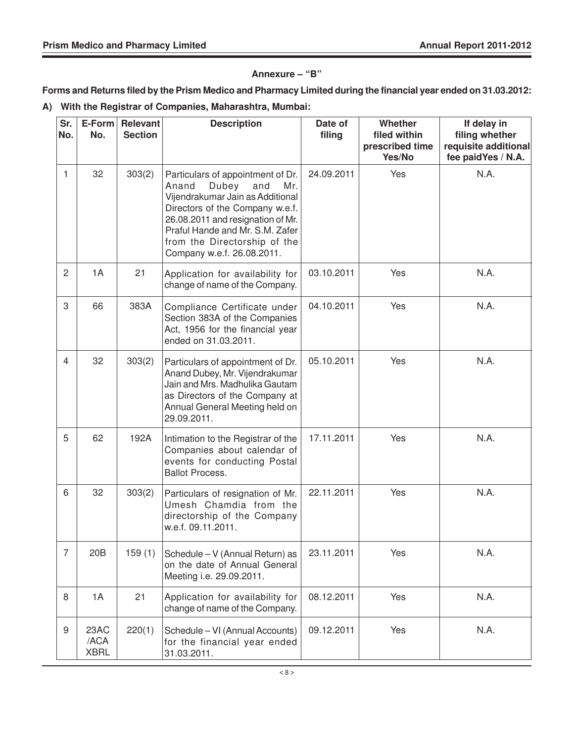#### **Annexure – "B"**

**Forms and Returns filed by the Prism Medico and Pharmacy Limited during the financial year ended on 31.03.2012:**

**A) With the Registrar of Companies, Maharashtra, Mumbai:**

| Sr.<br>No.     | E-Form<br>No.               | <b>Relevant</b><br><b>Section</b> | <b>Description</b>                                                                                                                                                                                                                                                             | Date of<br>filing | Whether<br>filed within<br>prescribed time<br>Yes/No | If delay in<br>filing whether<br>requisite additional<br>fee paidYes / N.A. |
|----------------|-----------------------------|-----------------------------------|--------------------------------------------------------------------------------------------------------------------------------------------------------------------------------------------------------------------------------------------------------------------------------|-------------------|------------------------------------------------------|-----------------------------------------------------------------------------|
| 1              | 32                          | 303(2)                            | Particulars of appointment of Dr.<br>Anand<br>Dubey<br>and<br>Mr.<br>Vijendrakumar Jain as Additional<br>Directors of the Company w.e.f.<br>26.08.2011 and resignation of Mr.<br>Praful Hande and Mr. S.M. Zafer<br>from the Directorship of the<br>Company w.e.f. 26.08.2011. | 24.09.2011        | Yes                                                  | N.A.                                                                        |
| $\overline{2}$ | 1A                          | 21                                | Application for availability for<br>change of name of the Company.                                                                                                                                                                                                             | 03.10.2011        | Yes                                                  | N.A.                                                                        |
| 3              | 66                          | 383A                              | Compliance Certificate under<br>Section 383A of the Companies<br>Act, 1956 for the financial year<br>ended on 31.03.2011.                                                                                                                                                      | 04.10.2011        | Yes                                                  | N.A.                                                                        |
| $\overline{4}$ | 32                          | 303(2)                            | Particulars of appointment of Dr.<br>Anand Dubey, Mr. Vijendrakumar<br>Jain and Mrs. Madhulika Gautam<br>as Directors of the Company at<br>Annual General Meeting held on<br>29.09.2011.                                                                                       | 05.10.2011        | Yes                                                  | N.A.                                                                        |
| 5              | 62                          | 192A                              | Intimation to the Registrar of the<br>Companies about calendar of<br>events for conducting Postal<br><b>Ballot Process.</b>                                                                                                                                                    | 17.11.2011        | Yes                                                  | N.A.                                                                        |
| 6              | 32                          | 303(2)                            | Particulars of resignation of Mr.<br>Umesh Chamdia from the<br>directorship of the Company<br>w.e.f. 09.11.2011.                                                                                                                                                               | 22.11.2011        | Yes                                                  | N.A.                                                                        |
| $\overline{7}$ | 20B                         | 159(1)                            | Schedule - V (Annual Return) as<br>on the date of Annual General<br>Meeting i.e. 29.09.2011.                                                                                                                                                                                   | 23.11.2011        | Yes                                                  | N.A.                                                                        |
| 8              | 1A                          | 21                                | Application for availability for<br>change of name of the Company.                                                                                                                                                                                                             | 08.12.2011        | Yes                                                  | N.A.                                                                        |
| 9              | 23AC<br>/ACA<br><b>XBRL</b> | 220(1)                            | Schedule - VI (Annual Accounts)<br>for the financial year ended<br>31.03.2011.                                                                                                                                                                                                 | 09.12.2011        | Yes                                                  | N.A.                                                                        |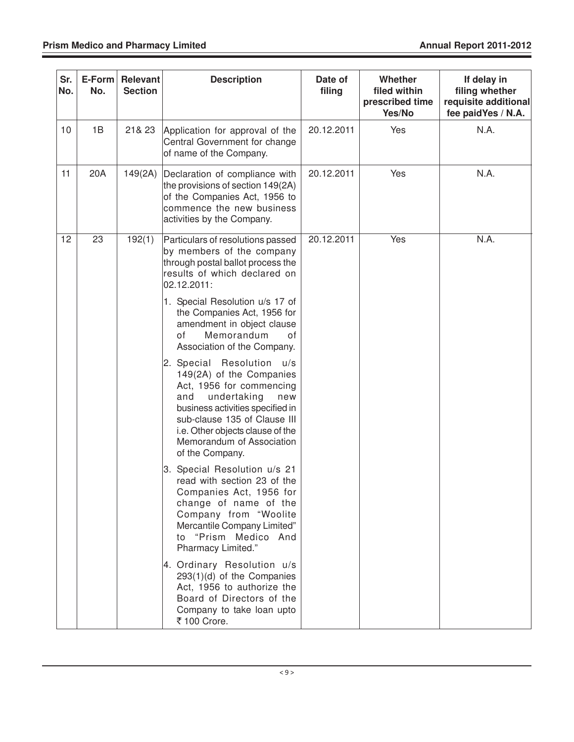| Sr.<br>No. | E-Form<br>No. | <b>Relevant</b><br><b>Section</b> | <b>Description</b>                                                                                                                                                                                                                                                        | Date of<br>filing | Whether<br>filed within<br>prescribed time<br>Yes/No | If delay in<br>filing whether<br>requisite additional<br>fee paidYes / N.A. |
|------------|---------------|-----------------------------------|---------------------------------------------------------------------------------------------------------------------------------------------------------------------------------------------------------------------------------------------------------------------------|-------------------|------------------------------------------------------|-----------------------------------------------------------------------------|
| 10         | 1B            | 21& 23                            | Application for approval of the<br>Central Government for change<br>of name of the Company.                                                                                                                                                                               | 20.12.2011        | Yes                                                  | N.A.                                                                        |
| 11         | 20A           | 149(2A)                           | Declaration of compliance with<br>the provisions of section 149(2A)<br>of the Companies Act, 1956 to<br>commence the new business<br>activities by the Company.                                                                                                           | 20.12.2011        | Yes                                                  | N.A.                                                                        |
| 12         | 23            | 192(1)                            | Particulars of resolutions passed<br>by members of the company<br>through postal ballot process the<br>results of which declared on<br>02.12.2011:                                                                                                                        | 20.12.2011        | Yes                                                  | N.A.                                                                        |
|            |               |                                   | 1. Special Resolution u/s 17 of<br>the Companies Act, 1956 for<br>amendment in object clause<br>Memorandum<br>οf<br>of<br>Association of the Company.                                                                                                                     |                   |                                                      |                                                                             |
|            |               |                                   | 2. Special Resolution<br>u/s<br>149(2A) of the Companies<br>Act, 1956 for commencing<br>undertaking<br>and<br>new<br>business activities specified in<br>sub-clause 135 of Clause III<br>i.e. Other objects clause of the<br>Memorandum of Association<br>of the Company. |                   |                                                      |                                                                             |
|            |               |                                   | 3. Special Resolution u/s 21<br>read with section 23 of the<br>Companies Act, 1956 for<br>change of name of the<br>Company from "Woolite<br>Mercantile Company Limited"<br>"Prism Medico And<br>to<br>Pharmacy Limited."                                                  |                   |                                                      |                                                                             |
|            |               |                                   | 4. Ordinary Resolution u/s<br>$293(1)(d)$ of the Companies<br>Act, 1956 to authorize the<br>Board of Directors of the<br>Company to take loan upto<br>₹ 100 Crore.                                                                                                        |                   |                                                      |                                                                             |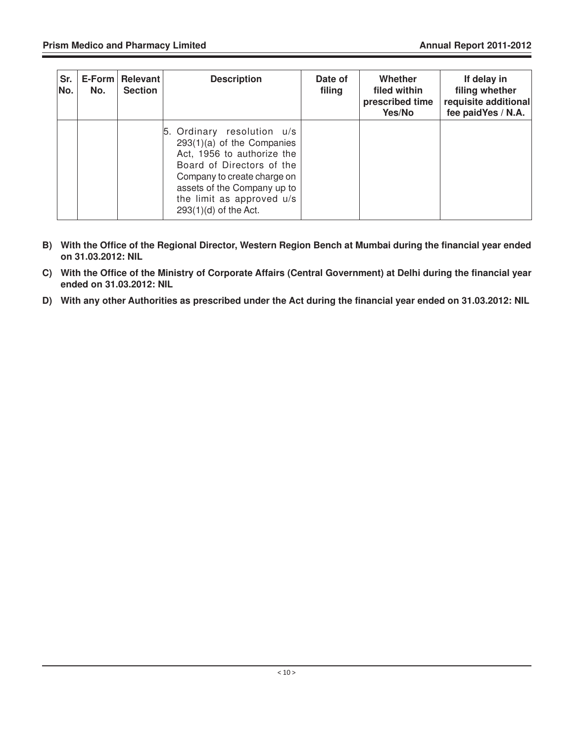| Sr.<br>No. | No. | E-Form   Relevant  <br><b>Section</b> | <b>Description</b>                                                                                                                                                                                                                          | Date of<br>filing | Whether<br>filed within<br>prescribed time<br>Yes/No | If delay in<br>filing whether<br>requisite additional<br>fee paidYes / N.A. |
|------------|-----|---------------------------------------|---------------------------------------------------------------------------------------------------------------------------------------------------------------------------------------------------------------------------------------------|-------------------|------------------------------------------------------|-----------------------------------------------------------------------------|
|            |     |                                       | 5. Ordinary resolution u/s<br>$293(1)(a)$ of the Companies<br>Act, 1956 to authorize the<br>Board of Directors of the<br>Company to create charge on<br>assets of the Company up to<br>the limit as approved u/s<br>$293(1)(d)$ of the Act. |                   |                                                      |                                                                             |

- **B) With the Office of the Regional Director, Western Region Bench at Mumbai during the financial year ended on 31.03.2012: NIL**
- **C) With the Office of the Ministry of Corporate Affairs (Central Government) at Delhi during the financial year ended on 31.03.2012: NIL**
- **D) With any other Authorities as prescribed under the Act during the financial year ended on 31.03.2012: NIL**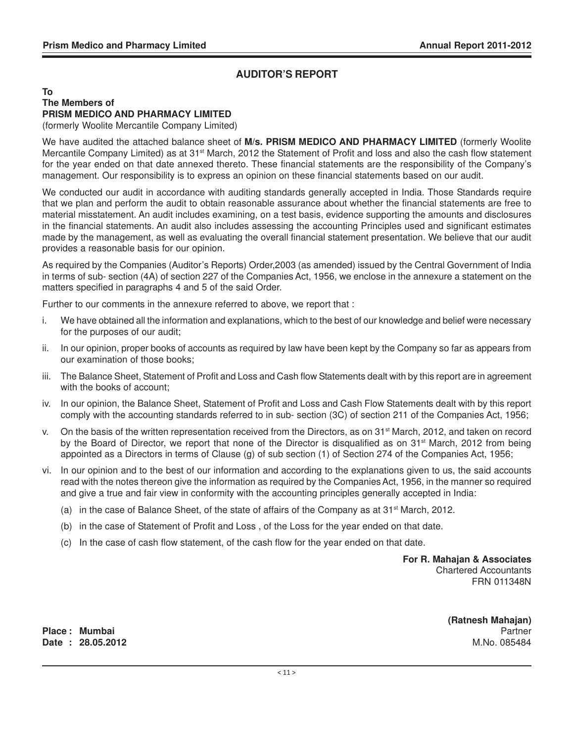#### **AUDITOR'S REPORT**

#### **To The Members of PRISM MEDICO AND PHARMACY LIMITED**

(formerly Woolite Mercantile Company Limited)

We have audited the attached balance sheet of **M/s. PRISM MEDICO AND PHARMACY LIMITED** (formerly Woolite Mercantile Company Limited) as at 31<sup>st</sup> March, 2012 the Statement of Profit and loss and also the cash flow statement for the year ended on that date annexed thereto. These financial statements are the responsibility of the Company's management. Our responsibility is to express an opinion on these financial statements based on our audit.

We conducted our audit in accordance with auditing standards generally accepted in India. Those Standards require that we plan and perform the audit to obtain reasonable assurance about whether the financial statements are free to material misstatement. An audit includes examining, on a test basis, evidence supporting the amounts and disclosures in the financial statements. An audit also includes assessing the accounting Principles used and significant estimates made by the management, as well as evaluating the overall financial statement presentation. We believe that our audit provides a reasonable basis for our opinion.

As required by the Companies (Auditor's Reports) Order,2003 (as amended) issued by the Central Government of India in terms of sub- section (4A) of section 227 of the Companies Act, 1956, we enclose in the annexure a statement on the matters specified in paragraphs 4 and 5 of the said Order.

Further to our comments in the annexure referred to above, we report that :

- i. We have obtained all the information and explanations, which to the best of our knowledge and belief were necessary for the purposes of our audit;
- ii. In our opinion, proper books of accounts as required by law have been kept by the Company so far as appears from our examination of those books;
- iii. The Balance Sheet, Statement of Profit and Loss and Cash flow Statements dealt with by this report are in agreement with the books of account;
- iv. In our opinion, the Balance Sheet, Statement of Profit and Loss and Cash Flow Statements dealt with by this report comply with the accounting standards referred to in sub- section (3C) of section 211 of the Companies Act, 1956;
- v. On the basis of the written representation received from the Directors, as on 31<sup>st</sup> March, 2012, and taken on record by the Board of Director, we report that none of the Director is disqualified as on 31<sup>st</sup> March, 2012 from being appointed as a Directors in terms of Clause (g) of sub section (1) of Section 274 of the Companies Act, 1956;
- vi. In our opinion and to the best of our information and according to the explanations given to us, the said accounts read with the notes thereon give the information as required by the Companies Act, 1956, in the manner so required and give a true and fair view in conformity with the accounting principles generally accepted in India:
	- (a) in the case of Balance Sheet, of the state of affairs of the Company as at  $31<sup>st</sup>$  March, 2012.
	- (b) in the case of Statement of Profit and Loss , of the Loss for the year ended on that date.
	- (c) In the case of cash flow statement, of the cash flow for the year ended on that date.

**For R. Mahajan & Associates** Chartered Accountants FRN 011348N

**Place : Mumbai** Partner **Date : 28.05.2012** M.No. 085484

 **(Ratnesh Mahajan)**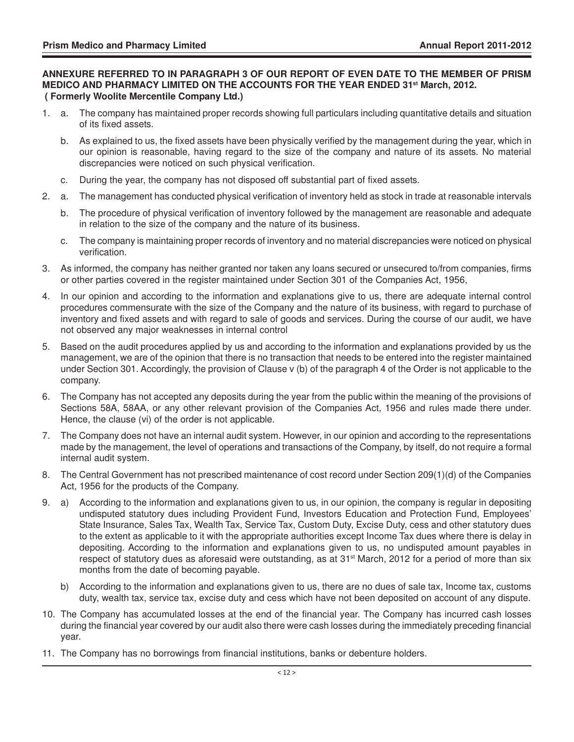#### **ANNEXURE REFERRED TO IN PARAGRAPH 3 OF OUR REPORT OF EVEN DATE TO THE MEMBER OF PRISM MEDICO AND PHARMACY LIMITED ON THE ACCOUNTS FOR THE YEAR ENDED 31st March, 2012. ( Formerly Woolite Mercentile Company Ltd.)**

- 1. a. The company has maintained proper records showing full particulars including quantitative details and situation of its fixed assets.
	- b. As explained to us, the fixed assets have been physically verified by the management during the year, which in our opinion is reasonable, having regard to the size of the company and nature of its assets. No material discrepancies were noticed on such physical verification.
	- c. During the year, the company has not disposed off substantial part of fixed assets.
- 2. a. The management has conducted physical verification of inventory held as stock in trade at reasonable intervals
	- b. The procedure of physical verification of inventory followed by the management are reasonable and adequate in relation to the size of the company and the nature of its business.
	- c. The company is maintaining proper records of inventory and no material discrepancies were noticed on physical verification.
- 3. As informed, the company has neither granted nor taken any loans secured or unsecured to/from companies, firms or other parties covered in the register maintained under Section 301 of the Companies Act, 1956,
- 4. In our opinion and according to the information and explanations give to us, there are adequate internal control procedures commensurate with the size of the Company and the nature of its business, with regard to purchase of inventory and fixed assets and with regard to sale of goods and services. During the course of our audit, we have not observed any major weaknesses in internal control
- 5. Based on the audit procedures applied by us and according to the information and explanations provided by us the management, we are of the opinion that there is no transaction that needs to be entered into the register maintained under Section 301. Accordingly, the provision of Clause v (b) of the paragraph 4 of the Order is not applicable to the company.
- 6. The Company has not accepted any deposits during the year from the public within the meaning of the provisions of Sections 58A, 58AA, or any other relevant provision of the Companies Act, 1956 and rules made there under. Hence, the clause (vi) of the order is not applicable.
- 7. The Company does not have an internal audit system. However, in our opinion and according to the representations made by the management, the level of operations and transactions of the Company, by itself, do not require a formal internal audit system.
- 8. The Central Government has not prescribed maintenance of cost record under Section 209(1)(d) of the Companies Act, 1956 for the products of the Company.
- 9. a) According to the information and explanations given to us, in our opinion, the company is regular in depositing undisputed statutory dues including Provident Fund, Investors Education and Protection Fund, Employees' State Insurance, Sales Tax, Wealth Tax, Service Tax, Custom Duty, Excise Duty, cess and other statutory dues to the extent as applicable to it with the appropriate authorities except Income Tax dues where there is delay in depositing. According to the information and explanations given to us, no undisputed amount payables in respect of statutory dues as aforesaid were outstanding, as at 31<sup>st</sup> March, 2012 for a period of more than six months from the date of becoming payable.
	- b) According to the information and explanations given to us, there are no dues of sale tax, Income tax, customs duty, wealth tax, service tax, excise duty and cess which have not been deposited on account of any dispute.
- 10. The Company has accumulated losses at the end of the financial year. The Company has incurred cash losses during the financial year covered by our audit also there were cash losses during the immediately preceding financial year.
- 11. The Company has no borrowings from financial institutions, banks or debenture holders.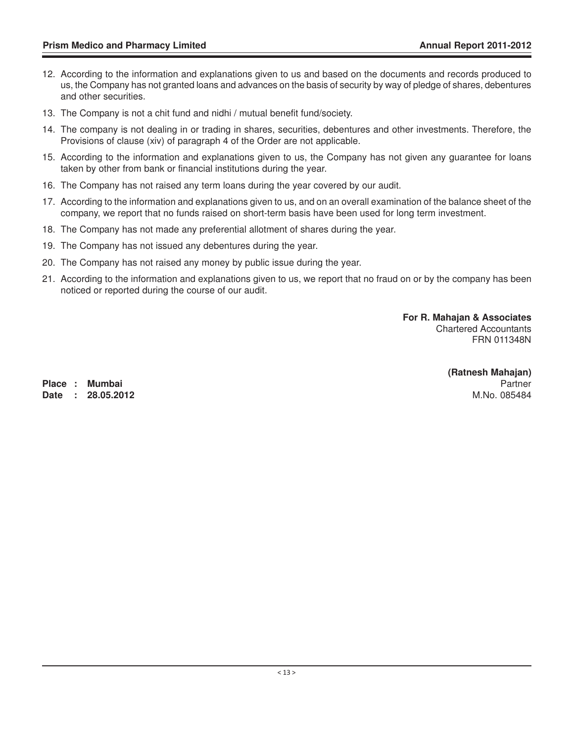- 12. According to the information and explanations given to us and based on the documents and records produced to us, the Company has not granted loans and advances on the basis of security by way of pledge of shares, debentures and other securities.
- 13. The Company is not a chit fund and nidhi / mutual benefit fund/society.
- 14. The company is not dealing in or trading in shares, securities, debentures and other investments. Therefore, the Provisions of clause (xiv) of paragraph 4 of the Order are not applicable.
- 15. According to the information and explanations given to us, the Company has not given any guarantee for loans taken by other from bank or financial institutions during the year.
- 16. The Company has not raised any term loans during the year covered by our audit.
- 17. According to the information and explanations given to us, and on an overall examination of the balance sheet of the company, we report that no funds raised on short-term basis have been used for long term investment.
- 18. The Company has not made any preferential allotment of shares during the year.
- 19. The Company has not issued any debentures during the year.
- 20. The Company has not raised any money by public issue during the year.
- 21. According to the information and explanations given to us, we report that no fraud on or by the company has been noticed or reported during the course of our audit.

**For R. Mahajan & Associates** Chartered Accountants FRN 011348N

**Place : Mumbai** Partner **Date : 28.05.2012** M.No. 085484

**(Ratnesh Mahajan)**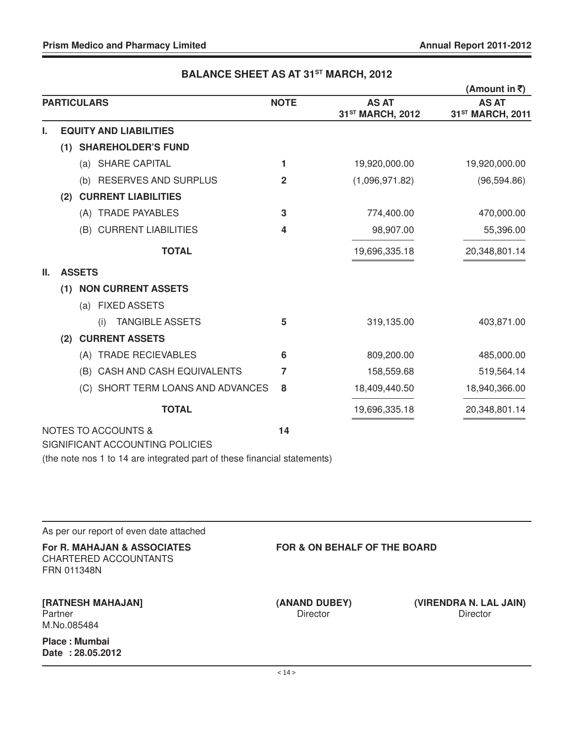|                                     |                                                                                                             |             |                                              | (Amount in ₹)                                |
|-------------------------------------|-------------------------------------------------------------------------------------------------------------|-------------|----------------------------------------------|----------------------------------------------|
| <b>PARTICULARS</b>                  |                                                                                                             | <b>NOTE</b> | <b>AS AT</b><br>31 <sup>ST</sup> MARCH, 2012 | <b>AS AT</b><br>31 <sup>ST</sup> MARCH, 2011 |
| <b>EQUITY AND LIABILITIES</b><br>L. |                                                                                                             |             |                                              |                                              |
| (1)                                 | <b>SHAREHOLDER'S FUND</b>                                                                                   |             |                                              |                                              |
|                                     | (a) SHARE CAPITAL                                                                                           | 1           | 19,920,000.00                                | 19,920,000.00                                |
|                                     | (b) RESERVES AND SURPLUS                                                                                    | 2           | (1,096,971.82)                               | (96, 594.86)                                 |
| (2)                                 | <b>CURRENT LIABILITIES</b>                                                                                  |             |                                              |                                              |
|                                     | (A) TRADE PAYABLES                                                                                          | 3           | 774,400.00                                   | 470,000.00                                   |
|                                     | (B) CURRENT LIABILITIES                                                                                     | 4           | 98,907.00                                    | 55,396.00                                    |
|                                     | <b>TOTAL</b>                                                                                                |             | 19,696,335.18                                | 20,348,801.14                                |
| <b>ASSETS</b><br>Ш.                 |                                                                                                             |             |                                              |                                              |
| (1)                                 | <b>NON CURRENT ASSETS</b>                                                                                   |             |                                              |                                              |
|                                     | (a) FIXED ASSETS                                                                                            |             |                                              |                                              |
| (i)                                 | <b>TANGIBLE ASSETS</b>                                                                                      | 5           | 319,135.00                                   | 403,871.00                                   |
| (2)                                 | <b>CURRENT ASSETS</b>                                                                                       |             |                                              |                                              |
|                                     | (A) TRADE RECIEVABLES                                                                                       | 6           | 809,200.00                                   | 485,000.00                                   |
| (B)                                 | CASH AND CASH EQUIVALENTS                                                                                   | 7           | 158,559.68                                   | 519,564.14                                   |
|                                     | (C) SHORT TERM LOANS AND ADVANCES                                                                           | 8           | 18,409,440.50                                | 18,940,366.00                                |
|                                     | <b>TOTAL</b>                                                                                                |             | 19,696,335.18                                | 20,348,801.14                                |
| <b>NOTES TO ACCOUNTS &amp;</b>      | SIGNIFICANT ACCOUNTING POLICIES<br>(the note nos 1 to 14 are integrated part of these financial statements) | 14          |                                              |                                              |

## **BALANCE SHEET AS AT 31ST MARCH, 2012**

| As per our report of even date attached                             |                                  |                                           |  |  |  |
|---------------------------------------------------------------------|----------------------------------|-------------------------------------------|--|--|--|
| For R. MAHAJAN & ASSOCIATES<br>CHARTERED ACCOUNTANTS<br>FRN 011348N |                                  | <b>FOR &amp; ON BEHALF OF THE BOARD</b>   |  |  |  |
| <b>[RATNESH MAHAJAN]</b><br>Partner<br>M.No.085484                  | (ANAND DUBEY)<br><b>Director</b> | (VIRENDRA N. LAL JAIN)<br><b>Director</b> |  |  |  |
| Place: Mumbai<br>Date: 28.05.2012                                   |                                  |                                           |  |  |  |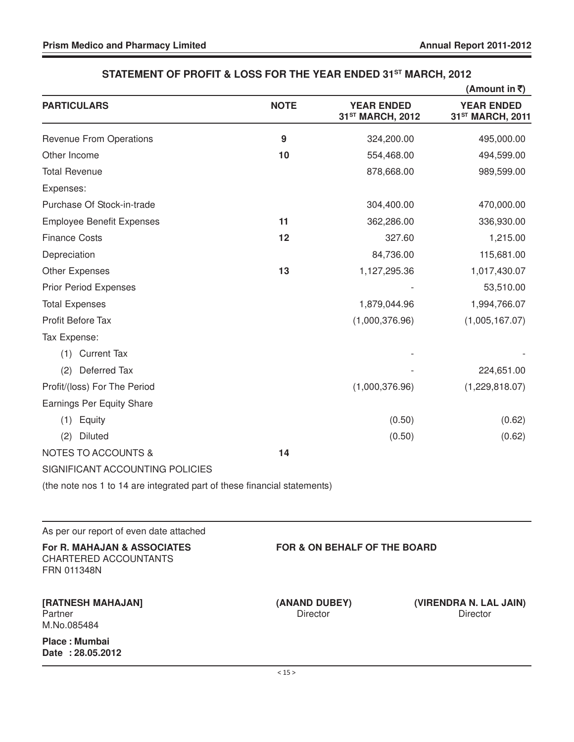**Date : 28.05.2012**

|                                                                            |                                  |                                                   | (Amount in $\bar{z}$ )                            |
|----------------------------------------------------------------------------|----------------------------------|---------------------------------------------------|---------------------------------------------------|
| <b>PARTICULARS</b>                                                         | <b>NOTE</b>                      | <b>YEAR ENDED</b><br>31 <sup>ST</sup> MARCH, 2012 | <b>YEAR ENDED</b><br>31 <sup>ST</sup> MARCH, 2011 |
| <b>Revenue From Operations</b>                                             | $\boldsymbol{9}$                 | 324,200.00                                        | 495,000.00                                        |
| Other Income                                                               | 10                               | 554,468.00                                        | 494,599.00                                        |
| <b>Total Revenue</b>                                                       |                                  | 878,668.00                                        | 989,599.00                                        |
| Expenses:                                                                  |                                  |                                                   |                                                   |
| Purchase Of Stock-in-trade                                                 |                                  | 304,400.00                                        | 470,000.00                                        |
| <b>Employee Benefit Expenses</b>                                           | 11                               | 362,286.00                                        | 336,930.00                                        |
| <b>Finance Costs</b>                                                       | 12                               | 327.60                                            | 1,215.00                                          |
| Depreciation                                                               |                                  | 84,736.00                                         | 115,681.00                                        |
| <b>Other Expenses</b>                                                      | 13                               | 1,127,295.36                                      | 1,017,430.07                                      |
| <b>Prior Period Expenses</b>                                               |                                  |                                                   | 53,510.00                                         |
| <b>Total Expenses</b>                                                      |                                  | 1,879,044.96                                      | 1,994,766.07                                      |
| Profit Before Tax                                                          |                                  | (1,000,376.96)                                    | (1,005,167.07)                                    |
| Tax Expense:                                                               |                                  |                                                   |                                                   |
| (1) Current Tax                                                            |                                  |                                                   |                                                   |
| Deferred Tax<br>(2)                                                        |                                  |                                                   | 224,651.00                                        |
| Profit/(loss) For The Period                                               |                                  | (1,000,376.96)                                    | (1,229,818.07)                                    |
| Earnings Per Equity Share                                                  |                                  |                                                   |                                                   |
| (1)<br>Equity                                                              |                                  | (0.50)                                            | (0.62)                                            |
| <b>Diluted</b><br>(2)                                                      |                                  | (0.50)                                            | (0.62)                                            |
| <b>NOTES TO ACCOUNTS &amp;</b>                                             | 14                               |                                                   |                                                   |
| SIGNIFICANT ACCOUNTING POLICIES                                            |                                  |                                                   |                                                   |
| (the note nos 1 to 14 are integrated part of these financial statements)   |                                  |                                                   |                                                   |
| As per our report of even date attached                                    |                                  |                                                   |                                                   |
| For R. MAHAJAN & ASSOCIATES<br><b>CHARTERED ACCOUNTANTS</b><br>FRN 011348N |                                  | <b>FOR &amp; ON BEHALF OF THE BOARD</b>           |                                                   |
| [RATNESH MAHAJAN]<br>Partner<br>M.No.085484                                | (ANAND DUBEY)<br><b>Director</b> |                                                   | (VIRENDRA N. LAL JAIN)<br>Director                |
| Place: Mumbai                                                              |                                  |                                                   |                                                   |

#### **STATEMENT OF PROFIT & LOSS FOR THE YEAR ENDED 31ST MARCH, 2012**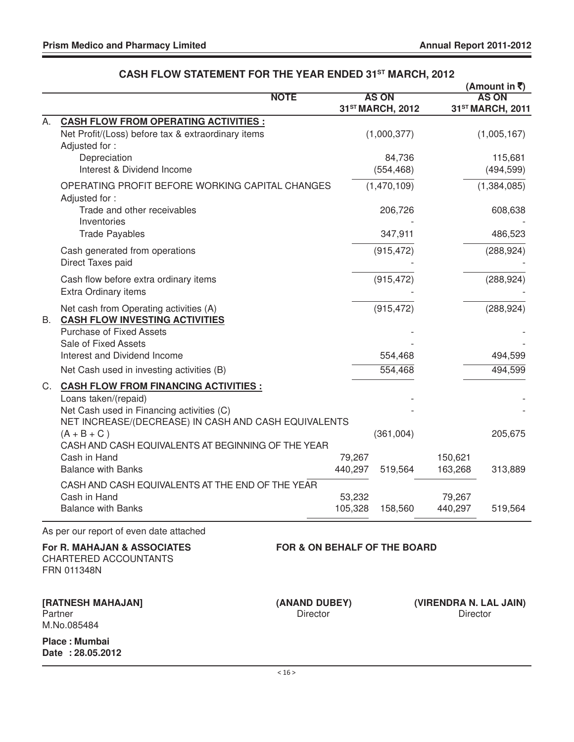|    |                                                                                                                           |                                         |                   |                                  |                   | (Amount in ₹)                                |
|----|---------------------------------------------------------------------------------------------------------------------------|-----------------------------------------|-------------------|----------------------------------|-------------------|----------------------------------------------|
|    |                                                                                                                           | <b>NOTE</b>                             |                   | <b>AS ON</b><br>31ST MARCH, 2012 |                   | <b>AS ON</b><br>31 <sup>ST</sup> MARCH, 2011 |
| А. | <b>CASH FLOW FROM OPERATING ACTIVITIES :</b>                                                                              |                                         |                   |                                  |                   |                                              |
|    | Net Profit/(Loss) before tax & extraordinary items<br>Adjusted for:                                                       |                                         |                   | (1,000,377)                      |                   | (1,005,167)                                  |
|    | Depreciation                                                                                                              |                                         |                   | 84,736                           |                   | 115,681                                      |
|    | Interest & Dividend Income                                                                                                |                                         |                   | (554, 468)                       |                   | (494, 599)                                   |
|    | OPERATING PROFIT BEFORE WORKING CAPITAL CHANGES<br>Adjusted for:                                                          |                                         |                   | (1,470,109)                      |                   | (1,384,085)                                  |
|    | Trade and other receivables<br>Inventories                                                                                |                                         |                   | 206,726                          |                   | 608,638                                      |
|    | <b>Trade Payables</b>                                                                                                     |                                         |                   | 347,911                          |                   | 486,523                                      |
|    | Cash generated from operations<br>Direct Taxes paid                                                                       |                                         |                   | (915, 472)                       |                   | (288, 924)                                   |
|    | Cash flow before extra ordinary items<br>Extra Ordinary items                                                             |                                         |                   | (915, 472)                       |                   | (288, 924)                                   |
| В. | Net cash from Operating activities (A)<br><b>CASH FLOW INVESTING ACTIVITIES</b>                                           |                                         |                   | (915, 472)                       |                   | (288, 924)                                   |
|    | <b>Purchase of Fixed Assets</b>                                                                                           |                                         |                   |                                  |                   |                                              |
|    | Sale of Fixed Assets                                                                                                      |                                         |                   |                                  |                   |                                              |
|    | Interest and Dividend Income                                                                                              |                                         |                   | 554,468                          |                   | 494,599                                      |
|    | Net Cash used in investing activities (B)                                                                                 |                                         |                   | 554,468                          |                   | 494,599                                      |
| C. | <b>CASH FLOW FROM FINANCING ACTIVITIES:</b>                                                                               |                                         |                   |                                  |                   |                                              |
|    | Loans taken/(repaid)<br>Net Cash used in Financing activities (C)<br>NET INCREASE/(DECREASE) IN CASH AND CASH EQUIVALENTS |                                         |                   |                                  |                   |                                              |
|    | $(A + B + C)$                                                                                                             |                                         |                   | (361,004)                        |                   | 205,675                                      |
|    | CASH AND CASH EQUIVALENTS AT BEGINNING OF THE YEAR                                                                        |                                         |                   |                                  |                   |                                              |
|    | Cash in Hand                                                                                                              |                                         | 79,267            |                                  | 150,621           |                                              |
|    | <b>Balance with Banks</b>                                                                                                 |                                         | 440,297           | 519,564                          | 163,268           | 313,889                                      |
|    | CASH AND CASH EQUIVALENTS AT THE END OF THE YEAR<br>Cash in Hand                                                          |                                         |                   |                                  |                   |                                              |
|    | <b>Balance with Banks</b>                                                                                                 |                                         | 53,232<br>105,328 | 158,560                          | 79,267<br>440,297 | 519,564                                      |
|    | As per our report of even date attached                                                                                   |                                         |                   |                                  |                   |                                              |
|    | For R. MAHAJAN & ASSOCIATES<br>CHARTERED ACCOUNTANTS<br>FRN 011348N                                                       | <b>FOR &amp; ON BEHALF OF THE BOARD</b> |                   |                                  |                   |                                              |
|    | [RATNESH MAHAJAN]<br>Partner<br>M.No.085484                                                                               | (ANAND DUBEY)<br><b>Director</b>        |                   |                                  | Director          | (VIRENDRA N. LAL JAIN)                       |
|    | <b>Place: Mumbai</b><br>Date: 28.05.2012                                                                                  |                                         |                   |                                  |                   |                                              |

### **CASH FLOW STATEMENT FOR THE YEAR ENDED 31ST MARCH, 2012**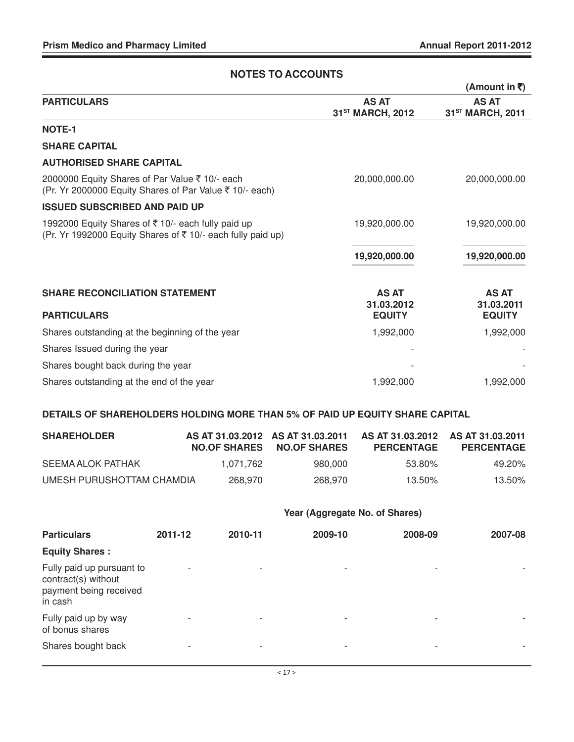| <b>NOTES TO ACCOUNTS</b>                                                                                         |                                              |                                              |  |  |
|------------------------------------------------------------------------------------------------------------------|----------------------------------------------|----------------------------------------------|--|--|
|                                                                                                                  |                                              | (Amount in ₹)                                |  |  |
| <b>PARTICULARS</b>                                                                                               | <b>AS AT</b><br>31 <sup>ST</sup> MARCH, 2012 | <b>AS AT</b><br>31 <sup>ST</sup> MARCH, 2011 |  |  |
| <b>NOTE-1</b>                                                                                                    |                                              |                                              |  |  |
| <b>SHARE CAPITAL</b>                                                                                             |                                              |                                              |  |  |
| <b>AUTHORISED SHARE CAPITAL</b>                                                                                  |                                              |                                              |  |  |
| 2000000 Equity Shares of Par Value ₹ 10/- each<br>(Pr. Yr 2000000 Equity Shares of Par Value ₹ 10/- each)        | 20,000,000.00                                | 20,000,000.00                                |  |  |
| <b>ISSUED SUBSCRIBED AND PAID UP</b>                                                                             |                                              |                                              |  |  |
| 1992000 Equity Shares of ₹10/- each fully paid up<br>(Pr. Yr 1992000 Equity Shares of ₹ 10/- each fully paid up) | 19,920,000.00                                | 19,920,000.00                                |  |  |
|                                                                                                                  | 19,920,000.00                                | 19,920,000.00                                |  |  |
| <b>SHARE RECONCILIATION STATEMENT</b><br><b>PARTICULARS</b>                                                      | <b>AS AT</b><br>31.03.2012<br><b>EQUITY</b>  | <b>AS AT</b><br>31.03.2011<br><b>EQUITY</b>  |  |  |
| Shares outstanding at the beginning of the year                                                                  | 1,992,000                                    | 1,992,000                                    |  |  |
| Shares Issued during the year                                                                                    |                                              |                                              |  |  |
| Shares bought back during the year                                                                               |                                              |                                              |  |  |
| Shares outstanding at the end of the year                                                                        | 1,992,000                                    | 1,992,000                                    |  |  |

#### **DETAILS OF SHAREHOLDERS HOLDING MORE THAN 5% OF PAID UP EQUITY SHARE CAPITAL**

| <b>SHAREHOLDER</b>        |           | AS AT 31.03.2012 AS AT 31.03.2011<br>NO.OF SHARES NO.OF SHARES | AS AT 31.03.2012 AS AT 31.03.2011<br><b>PERCENTAGE</b> | <b>PERCENTAGE</b> |
|---------------------------|-----------|----------------------------------------------------------------|--------------------------------------------------------|-------------------|
| SEEMA ALOK PATHAK         | 1.071.762 | 980.000                                                        | 53.80%                                                 | 49.20%            |
| UMESH PURUSHOTTAM CHAMDIA | 268.970   | 268.970                                                        | 13.50%                                                 | 13.50%            |

|                                                                                       | Year (Aggregate No. of Shares) |                          |                          |                          |                          |  |
|---------------------------------------------------------------------------------------|--------------------------------|--------------------------|--------------------------|--------------------------|--------------------------|--|
| <b>Particulars</b>                                                                    | 2011-12                        | 2010-11                  | 2009-10                  | 2008-09                  | 2007-08                  |  |
| <b>Equity Shares:</b>                                                                 |                                |                          |                          |                          |                          |  |
| Fully paid up pursuant to<br>contract(s) without<br>payment being received<br>in cash | $\overline{\phantom{a}}$       |                          | $\overline{\phantom{a}}$ | $\overline{\phantom{a}}$ |                          |  |
| Fully paid up by way<br>of bonus shares                                               | $\overline{\phantom{a}}$       | $\overline{\phantom{0}}$ | $\overline{\phantom{a}}$ | $\overline{\phantom{a}}$ | $\overline{\phantom{a}}$ |  |
| Shares bought back                                                                    | $\overline{\phantom{0}}$       |                          | $\overline{\phantom{a}}$ | $\overline{\phantom{a}}$ |                          |  |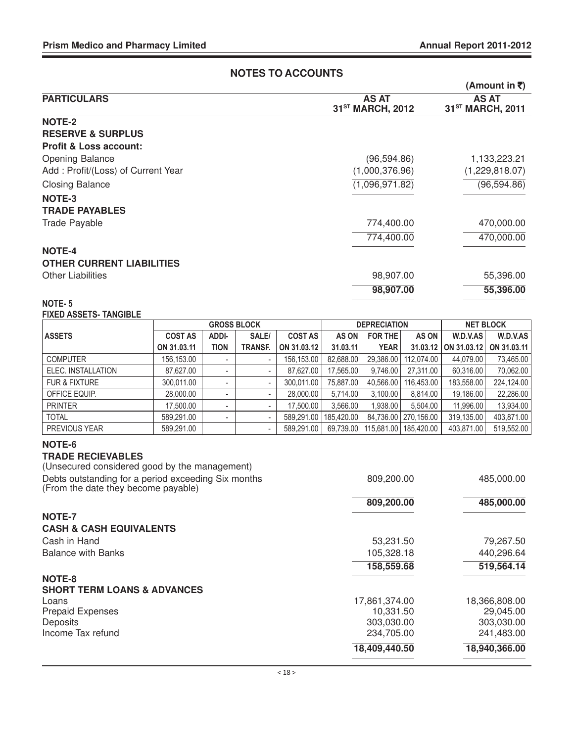#### **NOTES TO ACCOUNTS (Amount in** `**) PARTICULARS** AS AT AS AT AS AT AS AT AS AT AS AT AS AT AS AT AS AT AS AT  $31<sup>ST</sup> MARCH, 2012$ **NOTE-2 RESERVE & SURPLUS Profit & Loss account:** Opening Balance 1,133,223.21 (96,594.86) 1,133,223.21 Add : Profit/(Loss) of Current Year (1,000,376.96) (1,229,818.07) Closing Balance (1,096,971.82) (96,594.86) **NOTE-3 TRADE PAYABLES** Trade Payable 774,400.00 470,000.00 774,400.00 470,000.00 **NOTE-4 OTHER CURRENT LIABILITIES** Other Liabilities 98,907.00 55,396.00 **98,907.00 55,396.00**

#### NOTE- 5 FIXED ASSETS- TANGIBLE

|                          | <b>GROSS BLOCK</b> |                          |                          | <b>DEPRECIATION</b> |            |             | <b>NET BLOCK</b>       |                      |             |
|--------------------------|--------------------|--------------------------|--------------------------|---------------------|------------|-------------|------------------------|----------------------|-------------|
| <b>ASSETS</b>            | <b>COST AS</b>     | ADDI-                    | SALE/                    | <b>COST AS</b>      | AS ON      | FOR THE     | AS ON I                | W.D.V.AS             | W.D.V.AS    |
|                          | ON 31.03.11        | <b>TION</b>              | <b>TRANSF.</b>           | ON 31.03.12         | 31.03.11   | <b>YEAR</b> |                        | 31.03.12 ON 31.03.12 | ON 31.03.11 |
| <b>COMPUTER</b>          | 156,153.00         | -                        | $\overline{\phantom{a}}$ | 156,153.00          | 82,688.00  | 29,386.00   | 112.074.00             | 44,079.00            | 73,465.00   |
| ELEC. INSTALLATION       | 87.627.00          |                          | $\overline{\phantom{a}}$ | 87,627.00           | 17.565.00  | 9.746.00    | 27.311.00              | 60,316.00            | 70,062.00   |
| <b>FUR &amp; FIXTURE</b> | 300,011.00         |                          | $\overline{\phantom{a}}$ | 300.011.00          | 75.887.00  | 40.566.00   | 116.453.00             | 183.558.00           | 224,124.00  |
| OFFICE EQUIP.            | 28,000.00          | -                        |                          | 28.000.00           | 5.714.00   | 3.100.00    | 8.814.00               | 19.186.00            | 22,286.00   |
| <b>PRINTER</b>           | 17.500.00          | $\overline{\phantom{a}}$ | $\overline{\phantom{a}}$ | 17,500.00           | 3,566.00   | 1,938.00    | 5,504.00               | 11,996.00            | 13,934.00   |
| <b>TOTAL</b>             | 589.291.00         | $\overline{\phantom{a}}$ | $\overline{\phantom{a}}$ | 589.291.00          | 185.420.00 |             | 84,736.00   270,156.00 | 319.135.00           | 403,871.00  |
| PREVIOUS YEAR            | 589.291.00         |                          |                          | 589.291.00          | 69,739.00  | 115,681.00  | 185.420.00             | 403.871.00           | 519,552.00  |

#### **NOTE-6**

#### **TRADE RECIEVABLES**

|                                                                                            | 18,409,440.50 | 18,940,366.00 |
|--------------------------------------------------------------------------------------------|---------------|---------------|
| Income Tax refund                                                                          | 234.705.00    | 241,483.00    |
| Deposits                                                                                   | 303,030.00    | 303,030.00    |
| <b>Prepaid Expenses</b>                                                                    | 10,331.50     | 29,045.00     |
| Loans                                                                                      | 17,861,374.00 | 18,366,808.00 |
| <b>SHORT TERM LOANS &amp; ADVANCES</b>                                                     |               |               |
| NOTE-8                                                                                     |               |               |
|                                                                                            | 158,559.68    | 519,564.14    |
| <b>Balance with Banks</b>                                                                  | 105,328.18    | 440,296.64    |
| Cash in Hand                                                                               | 53,231.50     | 79,267.50     |
| <b>CASH &amp; CASH EQUIVALENTS</b>                                                         |               |               |
| <b>NOTE-7</b>                                                                              |               |               |
|                                                                                            | 809,200.00    | 485,000.00    |
| Debts outstanding for a period exceeding Six months<br>(From the date they become payable) | 809,200.00    | 485,000.00    |
| (Unsecured considered good by the management)                                              |               |               |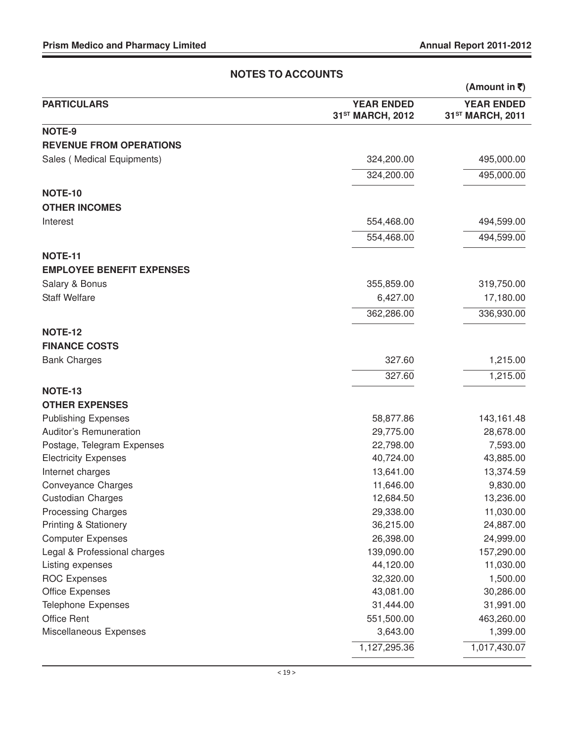|                                  |                                                   | (Amount in ₹)                                     |
|----------------------------------|---------------------------------------------------|---------------------------------------------------|
| <b>PARTICULARS</b>               | <b>YEAR ENDED</b><br>31 <sup>ST</sup> MARCH, 2012 | <b>YEAR ENDED</b><br>31 <sup>ST</sup> MARCH, 2011 |
| NOTE-9                           |                                                   |                                                   |
| <b>REVENUE FROM OPERATIONS</b>   |                                                   |                                                   |
| Sales (Medical Equipments)       | 324,200.00                                        | 495,000.00                                        |
|                                  | 324,200.00                                        | 495,000.00                                        |
| <b>NOTE-10</b>                   |                                                   |                                                   |
| <b>OTHER INCOMES</b>             |                                                   |                                                   |
|                                  |                                                   |                                                   |
| Interest                         | 554,468.00                                        | 494,599.00                                        |
|                                  | 554,468.00                                        | 494,599.00                                        |
| <b>NOTE-11</b>                   |                                                   |                                                   |
| <b>EMPLOYEE BENEFIT EXPENSES</b> |                                                   |                                                   |
| Salary & Bonus                   | 355,859.00                                        | 319,750.00                                        |
| <b>Staff Welfare</b>             | 6,427.00                                          | 17,180.00                                         |
|                                  | 362,286.00                                        | 336,930.00                                        |
|                                  |                                                   |                                                   |
| <b>NOTE-12</b>                   |                                                   |                                                   |
| <b>FINANCE COSTS</b>             |                                                   |                                                   |
| <b>Bank Charges</b>              | 327.60                                            | 1,215.00                                          |
|                                  | 327.60                                            | 1,215.00                                          |
| <b>NOTE-13</b>                   |                                                   |                                                   |
| <b>OTHER EXPENSES</b>            |                                                   |                                                   |
| <b>Publishing Expenses</b>       | 58,877.86                                         | 143,161.48                                        |
| Auditor's Remuneration           | 29,775.00                                         | 28,678.00                                         |
| Postage, Telegram Expenses       | 22,798.00                                         | 7,593.00                                          |
| <b>Electricity Expenses</b>      | 40,724.00                                         | 43,885.00                                         |
| Internet charges                 | 13,641.00                                         | 13,374.59                                         |
| <b>Conveyance Charges</b>        | 11,646.00                                         | 9,830.00                                          |
| <b>Custodian Charges</b>         | 12,684.50                                         | 13,236.00                                         |
| <b>Processing Charges</b>        | 29,338.00                                         | 11,030.00                                         |
| <b>Printing &amp; Stationery</b> | 36,215.00                                         | 24,887.00                                         |
| <b>Computer Expenses</b>         | 26,398.00                                         | 24,999.00                                         |
| Legal & Professional charges     | 139,090.00                                        | 157,290.00                                        |
| Listing expenses                 | 44,120.00                                         | 11,030.00                                         |
| <b>ROC Expenses</b>              | 32,320.00                                         | 1,500.00                                          |
| <b>Office Expenses</b>           | 43,081.00                                         | 30,286.00                                         |
| Telephone Expenses               | 31,444.00                                         | 31,991.00                                         |
| <b>Office Rent</b>               | 551,500.00                                        | 463,260.00                                        |
| Miscellaneous Expenses           | 3,643.00                                          | 1,399.00                                          |
|                                  | 1,127,295.36                                      | 1,017,430.07                                      |

### **NOTES TO ACCOUNTS**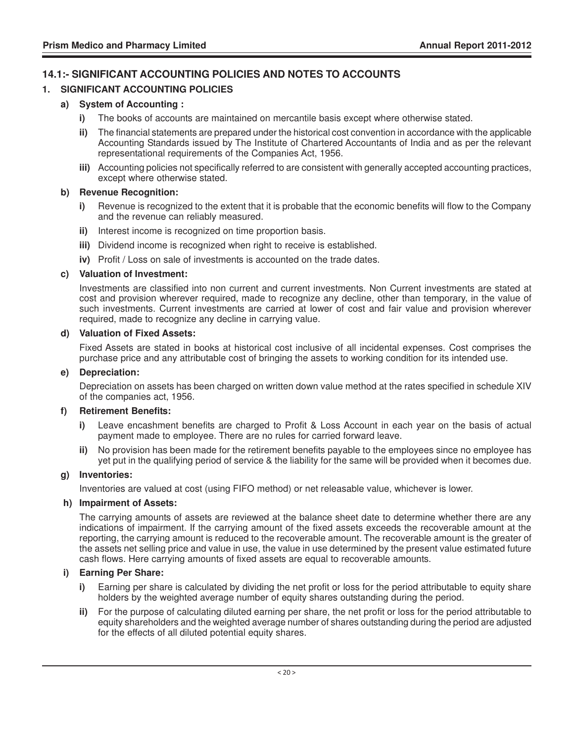#### **14.1:- SIGNIFICANT ACCOUNTING POLICIES AND NOTES TO ACCOUNTS**

#### **1. SIGNIFICANT ACCOUNTING POLICIES**

#### **a) System of Accounting :**

- **i)** The books of accounts are maintained on mercantile basis except where otherwise stated.
- **ii)** The financial statements are prepared under the historical cost convention in accordance with the applicable Accounting Standards issued by The Institute of Chartered Accountants of India and as per the relevant representational requirements of the Companies Act, 1956.
- **iii)** Accounting policies not specifically referred to are consistent with generally accepted accounting practices, except where otherwise stated.

#### **b) Revenue Recognition:**

- **i)** Revenue is recognized to the extent that it is probable that the economic benefits will flow to the Company and the revenue can reliably measured.
- **ii)** Interest income is recognized on time proportion basis.
- **iii)** Dividend income is recognized when right to receive is established.
- **iv)** Profit / Loss on sale of investments is accounted on the trade dates.

#### **c) Valuation of Investment:**

Investments are classified into non current and current investments. Non Current investments are stated at cost and provision wherever required, made to recognize any decline, other than temporary, in the value of such investments. Current investments are carried at lower of cost and fair value and provision wherever required, made to recognize any decline in carrying value.

#### **d) Valuation of Fixed Assets:**

Fixed Assets are stated in books at historical cost inclusive of all incidental expenses. Cost comprises the purchase price and any attributable cost of bringing the assets to working condition for its intended use.

#### **e) Depreciation:**

Depreciation on assets has been charged on written down value method at the rates specified in schedule XIV of the companies act, 1956.

#### **f) Retirement Benefits:**

- **i)** Leave encashment benefits are charged to Profit & Loss Account in each year on the basis of actual payment made to employee. There are no rules for carried forward leave.
- **ii)** No provision has been made for the retirement benefits payable to the employees since no employee has yet put in the qualifying period of service & the liability for the same will be provided when it becomes due.

#### **g) Inventories:**

Inventories are valued at cost (using FIFO method) or net releasable value, whichever is lower.

#### **h) Impairment of Assets:**

The carrying amounts of assets are reviewed at the balance sheet date to determine whether there are any indications of impairment. If the carrying amount of the fixed assets exceeds the recoverable amount at the reporting, the carrying amount is reduced to the recoverable amount. The recoverable amount is the greater of the assets net selling price and value in use, the value in use determined by the present value estimated future cash flows. Here carrying amounts of fixed assets are equal to recoverable amounts.

#### **i) Earning Per Share:**

- **i)** Earning per share is calculated by dividing the net profit or loss for the period attributable to equity share holders by the weighted average number of equity shares outstanding during the period.
- **ii)** For the purpose of calculating diluted earning per share, the net profit or loss for the period attributable to equity shareholders and the weighted average number of shares outstanding during the period are adjusted for the effects of all diluted potential equity shares.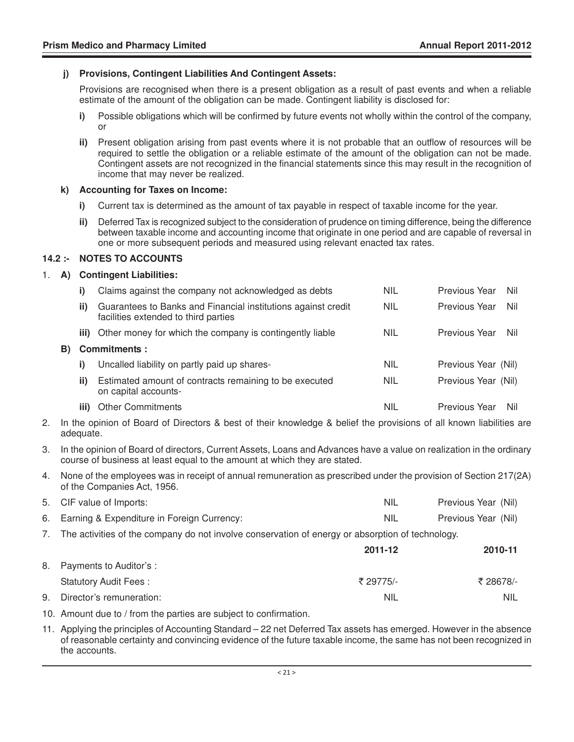#### **j) Provisions, Contingent Liabilities And Contingent Assets:**

Provisions are recognised when there is a present obligation as a result of past events and when a reliable estimate of the amount of the obligation can be made. Contingent liability is disclosed for:

- **i)** Possible obligations which will be confirmed by future events not wholly within the control of the company, or
- **ii)** Present obligation arising from past events where it is not probable that an outflow of resources will be required to settle the obligation or a reliable estimate of the amount of the obligation can not be made. Contingent assets are not recognized in the financial statements since this may result in the recognition of income that may never be realized.

#### **k) Accounting for Taxes on Income:**

- **i)** Current tax is determined as the amount of tax payable in respect of taxable income for the year.
- **ii)** Deferred Tax is recognized subject to the consideration of prudence on timing difference, being the difference between taxable income and accounting income that originate in one period and are capable of reversal in one or more subsequent periods and measured using relevant enacted tax rates.

#### **14.2 :- NOTES TO ACCOUNTS**

#### 1. **A) Contingent Liabilities:**

|     |      | Claims against the company not acknowledged as debts                                                  | <b>NIL</b> | Previous Year<br>Nil |
|-----|------|-------------------------------------------------------------------------------------------------------|------------|----------------------|
|     | ii)  | Guarantees to Banks and Financial institutions against credit<br>facilities extended to third parties | <b>NIL</b> | Previous Year<br>Nil |
|     |      | iii) Other money for which the company is contingently liable                                         | <b>NIL</b> | Previous Year<br>Nil |
| B). |      | <b>Commitments:</b>                                                                                   |            |                      |
|     |      | Uncalled liability on partly paid up shares-                                                          | <b>NIL</b> | Previous Year (Nil)  |
|     | ii)  | Estimated amount of contracts remaining to be executed<br>on capital accounts-                        | <b>NIL</b> | Previous Year (Nil)  |
|     | iii) | <b>Other Commitments</b>                                                                              | NIL        | Previous Year<br>Nil |

- 2. In the opinion of Board of Directors & best of their knowledge & belief the provisions of all known liabilities are adequate.
- 3. In the opinion of Board of directors, Current Assets, Loans and Advances have a value on realization in the ordinary course of business at least equal to the amount at which they are stated.
- 4. None of the employees was in receipt of annual remuneration as prescribed under the provision of Section 217(2A) of the Companies Act, 1956.

|    | 5. CIF value of Imports:                                                                            | <b>NIL</b> | Previous Year (Nil) |  |  |
|----|-----------------------------------------------------------------------------------------------------|------------|---------------------|--|--|
|    | 6. Earning & Expenditure in Foreign Currency:                                                       | <b>NIL</b> | Previous Year (Nil) |  |  |
|    | 7. The activities of the company do not involve conservation of energy or absorption of technology. |            |                     |  |  |
|    |                                                                                                     | 2011-12    | 2010-11             |  |  |
| 8. | Payments to Auditor's :                                                                             |            |                     |  |  |
|    | <b>Statutory Audit Fees:</b>                                                                        | ₹ 29775/-  | ₹ 28678/-           |  |  |
| 9. | Director's remuneration:                                                                            | NIL        | <b>NIL</b>          |  |  |

- 10. Amount due to / from the parties are subject to confirmation.
- 11. Applying the principles of Accounting Standard 22 net Deferred Tax assets has emerged. However in the absence of reasonable certainty and convincing evidence of the future taxable income, the same has not been recognized in the accounts.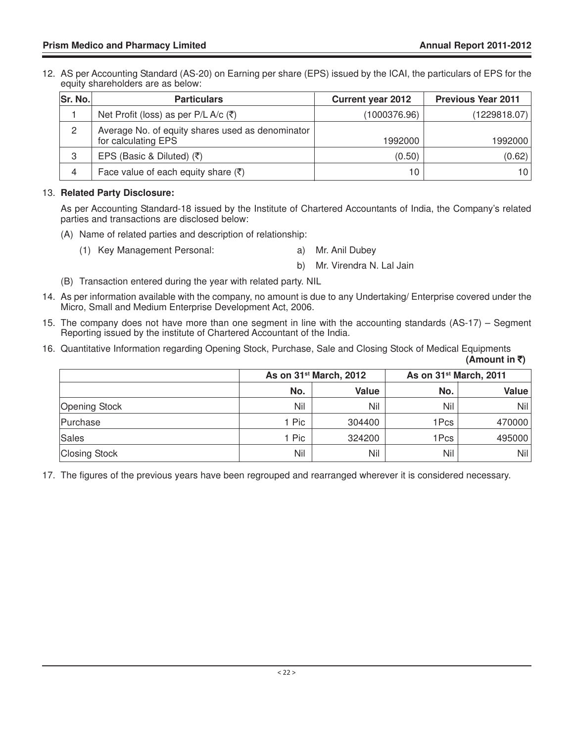12. AS per Accounting Standard (AS-20) on Earning per share (EPS) issued by the ICAI, the particulars of EPS for the equity shareholders are as below:

| Sr. No. | <b>Particulars</b>                                                      | <b>Current year 2012</b> | <b>Previous Year 2011</b> |
|---------|-------------------------------------------------------------------------|--------------------------|---------------------------|
|         | Net Profit (loss) as per P/L A/c $(\bar{\zeta})$                        | (1000376.96)             | (1229818.07)              |
| 2       | Average No. of equity shares used as denominator<br>for calculating EPS | 1992000                  | 1992000                   |
| 3       | EPS (Basic & Diluted) $(5)$                                             | (0.50)                   | (0.62)                    |
| 4       | Face value of each equity share $(\bar{\zeta})$                         | 10                       | 10                        |

#### 13. **Related Party Disclosure:**

As per Accounting Standard-18 issued by the Institute of Chartered Accountants of India, the Company's related parties and transactions are disclosed below:

- (A) Name of related parties and description of relationship:
	- (1) Key Management Personal: a) Mr. Anil Dubey
		- b) Mr. Virendra N. Lal Jain
- (B) Transaction entered during the year with related party. NIL
- 14. As per information available with the company, no amount is due to any Undertaking/ Enterprise covered under the Micro, Small and Medium Enterprise Development Act, 2006.
- 15. The company does not have more than one segment in line with the accounting standards (AS-17) Segment Reporting issued by the institute of Chartered Accountant of the India.
- 16. Quantitative Information regarding Opening Stock, Purchase, Sale and Closing Stock of Medical Equipments **(Amount in** `**)**

|                      |       | As on 31 <sup>st</sup> March, 2012 |      | As on 31 <sup>st</sup> March, 2011 |
|----------------------|-------|------------------------------------|------|------------------------------------|
|                      | No.   | <b>Value</b>                       | No.  | Value                              |
| Opening Stock        | Nil   | Nil                                | Nil  | Nil                                |
| Purchase             | 1 Pic | 304400                             | 1Pcs | 470000                             |
| Sales                | 1 Pic | 324200                             | 1Pcs | 495000                             |
| <b>Closing Stock</b> | Nil   | Nil                                | Nil  | Nil                                |

17. The figures of the previous years have been regrouped and rearranged wherever it is considered necessary.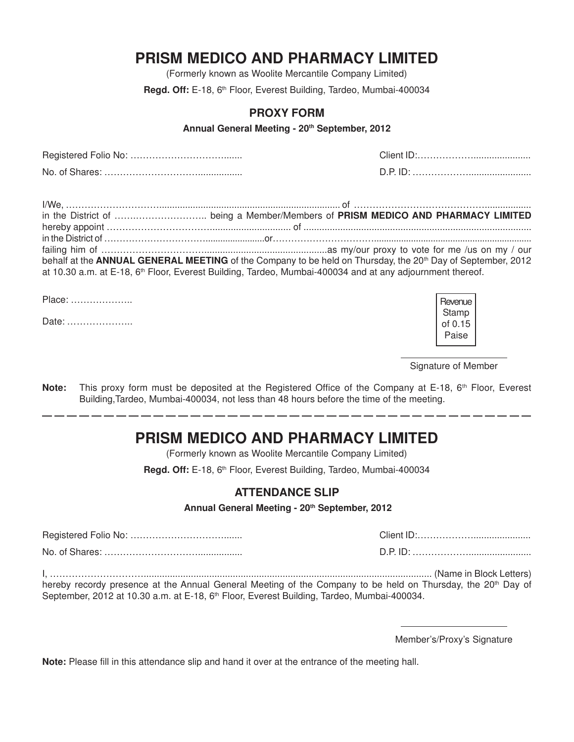# **PRISM MEDICO AND PHARMACY LIMITED**

(Formerly known as Woolite Mercantile Company Limited)

Regd. Off: E-18, 6<sup>th</sup> Floor, Everest Building, Tardeo, Mumbai-400034

#### **PROXY FORM**

**Annual General Meeting - 20th September, 2012**

Registered Folio No: …………………………....... Client ID:………………...................... No. of Shares: …………………………................. D.P. ID: ………………........................

| behalf at the ANNUAL GENERAL MEETING of the Company to be held on Thursday, the 20 <sup>th</sup> Day of September, 2012 |  |
|-------------------------------------------------------------------------------------------------------------------------|--|
| at 10.30 a.m. at E-18, 6 <sup>th</sup> Floor, Everest Building, Tardeo, Mumbai-400034 and at any adjournment thereof.   |  |

Place: ………………..

Date: ………………...

Signature of Member

**Note:** This proxy form must be deposited at the Registered Office of the Company at E-18, 6<sup>th</sup> Floor, Everest Building,Tardeo, Mumbai-400034, not less than 48 hours before the time of the meeting.

# **PRISM MEDICO AND PHARMACY LIMITED**

(Formerly known as Woolite Mercantile Company Limited)

Regd. Off: E-18, 6<sup>th</sup> Floor, Everest Building, Tardeo, Mumbai-400034

#### **ATTENDANCE SLIP**

**Annual General Meeting - 20th September, 2012**

Registered Folio No: …………………………....... Client ID:………………...................... No. of Shares: …………………………................. D.P. ID: ………………........................ I, ………………………….............................................................................................................. (Name in Block Letters)

hereby recordy presence at the Annual General Meeting of the Company to be held on Thursday, the 20<sup>th</sup> Day of September, 2012 at 10.30 a.m. at E-18, 6<sup>th</sup> Floor, Everest Building, Tardeo, Mumbai-400034.

Member's/Proxy's Signature

**Note:** Please fill in this attendance slip and hand it over at the entrance of the meeting hall.